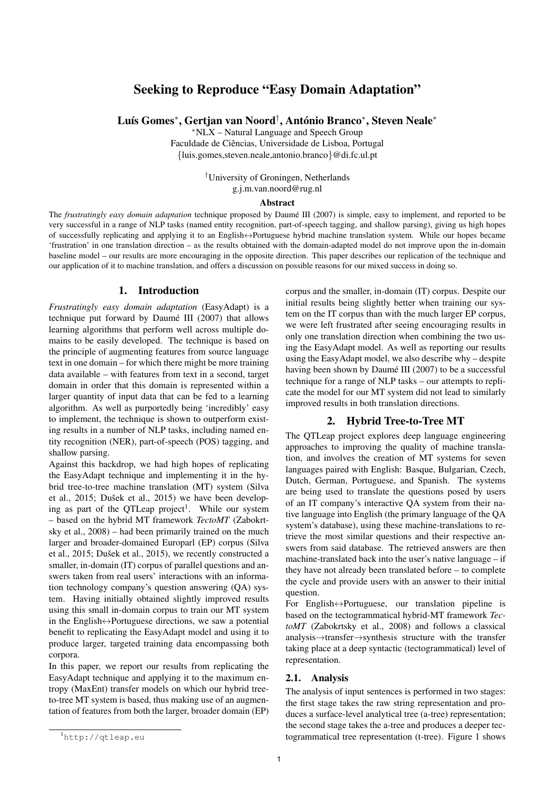# Seeking to Reproduce "Easy Domain Adaptation"

Luís Gomes\*, Gertjan van Noord†, António Branco\*, Steven Neale\*

<sup>∗</sup>NLX – Natural Language and Speech Group Faculdade de Ciências, Universidade de Lisboa, Portugal {luis.gomes,steven.neale,antonio.branco}@di.fc.ul.pt

> †University of Groningen, Netherlands g.j.m.van.noord@rug.nl

### **Abstract**

The *frustratingly easy domain adaptation* technique proposed by Daumé III (2007) is simple, easy to implement, and reported to be very successful in a range of NLP tasks (named entity recognition, part-of-speech tagging, and shallow parsing), giving us high hopes of successfully replicating and applying it to an English↔Portuguese hybrid machine translation system. While our hopes became 'frustration' in one translation direction – as the results obtained with the domain-adapted model do not improve upon the in-domain baseline model – our results are more encouraging in the opposite direction. This paper describes our replication of the technique and our application of it to machine translation, and offers a discussion on possible reasons for our mixed success in doing so.

### 1. Introduction

*Frustratingly easy domain adaptation* (EasyAdapt) is a technique put forward by Daumé III  $(2007)$  that allows learning algorithms that perform well across multiple domains to be easily developed. The technique is based on the principle of augmenting features from source language text in one domain – for which there might be more training data available – with features from text in a second, target domain in order that this domain is represented within a larger quantity of input data that can be fed to a learning algorithm. As well as purportedly being 'incredibly' easy to implement, the technique is shown to outperform existing results in a number of NLP tasks, including named entity recognition (NER), part-of-speech (POS) tagging, and shallow parsing.

Against this backdrop, we had high hopes of replicating the EasyAdapt technique and implementing it in the hybrid tree-to-tree machine translation (MT) system (Silva et al., 2015; Dušek et al., 2015) we have been developing as part of the QTLeap project<sup>1</sup>. While our system – based on the hybrid MT framework *TectoMT* (Zabokrtsky et al., 2008) – had been primarily trained on the much larger and broader-domained Europarl (EP) corpus (Silva et al., 2015; Dušek et al., 2015), we recently constructed a smaller, in-domain (IT) corpus of parallel questions and answers taken from real users' interactions with an information technology company's question answering (QA) system. Having initially obtained slightly improved results using this small in-domain corpus to train our MT system in the English $\leftrightarrow$ Portuguese directions, we saw a potential benefit to replicating the EasyAdapt model and using it to produce larger, targeted training data encompassing both corpora.

In this paper, we report our results from replicating the EasyAdapt technique and applying it to the maximum entropy (MaxEnt) transfer models on which our hybrid treeto-tree MT system is based, thus making use of an augmentation of features from both the larger, broader domain (EP)

<sup>1</sup>http://qtleap.eu

corpus and the smaller, in-domain (IT) corpus. Despite our initial results being slightly better when training our system on the IT corpus than with the much larger EP corpus, we were left frustrated after seeing encouraging results in only one translation direction when combining the two using the EasyAdapt model. As well as reporting our results using the EasyAdapt model, we also describe why – despite having been shown by Daumé III (2007) to be a successful technique for a range of NLP tasks – our attempts to replicate the model for our MT system did not lead to similarly improved results in both translation directions.

## 2. Hybrid Tree-to-Tree MT

The QTLeap project explores deep language engineering approaches to improving the quality of machine translation, and involves the creation of MT systems for seven languages paired with English: Basque, Bulgarian, Czech, Dutch, German, Portuguese, and Spanish. The systems are being used to translate the questions posed by users of an IT company's interactive QA system from their native language into English (the primary language of the QA system's database), using these machine-translations to retrieve the most similar questions and their respective answers from said database. The retrieved answers are then machine-translated back into the user's native language – if they have not already been translated before – to complete the cycle and provide users with an answer to their initial question.

For English↔Portuguese, our translation pipeline is based on the tectogrammatical hybrid-MT framework *TectoMT* (Zabokrtsky et al., 2008) and follows a classical analysis→transfer→synthesis structure with the transfer taking place at a deep syntactic (tectogrammatical) level of representation.

### 2.1. Analysis

The analysis of input sentences is performed in two stages: the first stage takes the raw string representation and produces a surface-level analytical tree (a-tree) representation; the second stage takes the a-tree and produces a deeper tectogrammatical tree representation (t-tree). Figure 1 shows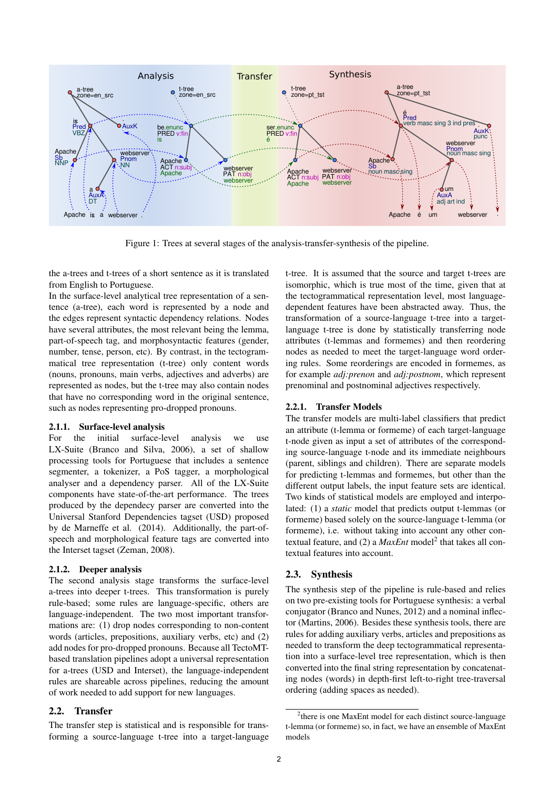

Figure 1: Trees at several stages of the analysis-transfer-synthesis of the pipeline.

the a-trees and t-trees of a short sentence as it is translated from English to Portuguese.

In the surface-level analytical tree representation of a sentence (a-tree), each word is represented by a node and the edges represent syntactic dependency relations. Nodes have several attributes, the most relevant being the lemma, part-of-speech tag, and morphosyntactic features (gender, number, tense, person, etc). By contrast, in the tectogrammatical tree representation (t-tree) only content words (nouns, pronouns, main verbs, adjectives and adverbs) are represented as nodes, but the t-tree may also contain nodes that have no corresponding word in the original sentence, such as nodes representing pro-dropped pronouns.

### 2.1.1. Surface-level analysis

For the initial surface-level analysis we use LX-Suite (Branco and Silva, 2006), a set of shallow processing tools for Portuguese that includes a sentence segmenter, a tokenizer, a PoS tagger, a morphological analyser and a dependency parser. All of the LX-Suite components have state-of-the-art performance. The trees produced by the dependecy parser are converted into the Universal Stanford Dependencies tagset (USD) proposed by de Marneffe et al. (2014). Additionally, the part-ofspeech and morphological feature tags are converted into the Interset tagset (Zeman, 2008).

### 2.1.2. Deeper analysis

The second analysis stage transforms the surface-level a-trees into deeper t-trees. This transformation is purely rule-based; some rules are language-specific, others are language-independent. The two most important transformations are: (1) drop nodes corresponding to non-content words (articles, prepositions, auxiliary verbs, etc) and (2) add nodes for pro-dropped pronouns. Because all TectoMTbased translation pipelines adopt a universal representation for a-trees (USD and Interset), the language-independent rules are shareable across pipelines, reducing the amount of work needed to add support for new languages.

### 2.2. Transfer

The transfer step is statistical and is responsible for transforming a source-language t-tree into a target-language t-tree. It is assumed that the source and target t-trees are isomorphic, which is true most of the time, given that at the tectogrammatical representation level, most languagedependent features have been abstracted away. Thus, the transformation of a source-language t-tree into a targetlanguage t-tree is done by statistically transferring node attributes (t-lemmas and formemes) and then reordering nodes as needed to meet the target-language word ordering rules. Some reorderings are encoded in formemes, as for example *adj:prenon* and *adj:postnom*, which represent prenominal and postnominal adjectives respectively.

#### 2.2.1. Transfer Models

The transfer models are multi-label classifiers that predict an attribute (t-lemma or formeme) of each target-language t-node given as input a set of attributes of the corresponding source-language t-node and its immediate neighbours (parent, siblings and children). There are separate models for predicting t-lemmas and formemes, but other than the different output labels, the input feature sets are identical. Two kinds of statistical models are employed and interpolated: (1) a *static* model that predicts output t-lemmas (or formeme) based solely on the source-language t-lemma (or formeme), i.e. without taking into account any other contextual feature, and (2) a *MaxEnt* model<sup>2</sup> that takes all contextual features into account.

### 2.3. Synthesis

The synthesis step of the pipeline is rule-based and relies on two pre-existing tools for Portuguese synthesis: a verbal conjugator (Branco and Nunes, 2012) and a nominal inflector (Martins, 2006). Besides these synthesis tools, there are rules for adding auxiliary verbs, articles and prepositions as needed to transform the deep tectogrammatical representation into a surface-level tree representation, which is then converted into the final string representation by concatenating nodes (words) in depth-first left-to-right tree-traversal ordering (adding spaces as needed).

<sup>&</sup>lt;sup>2</sup>there is one MaxEnt model for each distinct source-language t-lemma (or formeme) so, in fact, we have an ensemble of MaxEnt models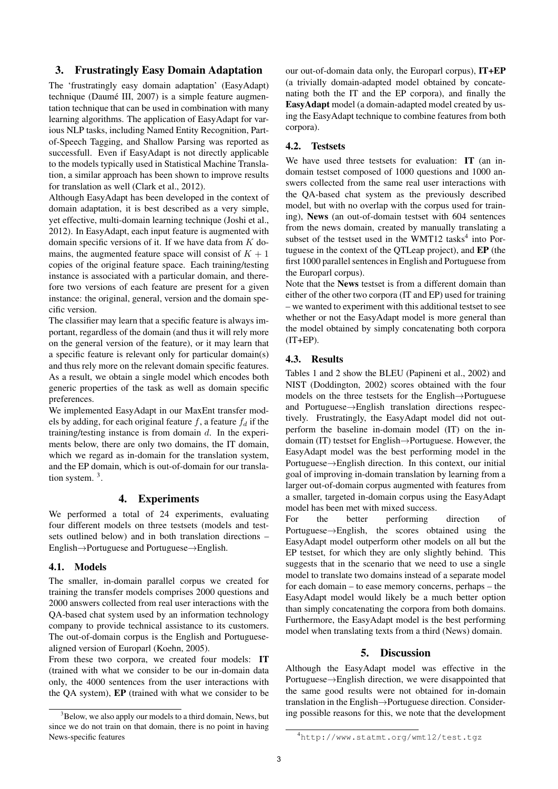# 3. Frustratingly Easy Domain Adaptation

The 'frustratingly easy domain adaptation' (EasyAdapt) technique (Daumé III, 2007) is a simple feature augmentation technique that can be used in combination with many learning algorithms. The application of EasyAdapt for various NLP tasks, including Named Entity Recognition, Partof-Speech Tagging, and Shallow Parsing was reported as successfull. Even if EasyAdapt is not directly applicable to the models typically used in Statistical Machine Translation, a similar approach has been shown to improve results for translation as well (Clark et al., 2012).

Although EasyAdapt has been developed in the context of domain adaptation, it is best described as a very simple, yet effective, multi-domain learning technique (Joshi et al., 2012). In EasyAdapt, each input feature is augmented with domain specific versions of it. If we have data from  $K$  domains, the augmented feature space will consist of  $K + 1$ copies of the original feature space. Each training/testing instance is associated with a particular domain, and therefore two versions of each feature are present for a given instance: the original, general, version and the domain specific version.

The classifier may learn that a specific feature is always important, regardless of the domain (and thus it will rely more on the general version of the feature), or it may learn that a specific feature is relevant only for particular domain(s) and thus rely more on the relevant domain specific features. As a result, we obtain a single model which encodes both generic properties of the task as well as domain specific preferences.

We implemented EasyAdapt in our MaxEnt transfer models by adding, for each original feature  $f$ , a feature  $f_d$  if the training/testing instance is from domain  $d$ . In the experiments below, there are only two domains, the IT domain, which we regard as in-domain for the translation system, and the EP domain, which is out-of-domain for our translation system.  $3$ .

### 4. Experiments

We performed a total of 24 experiments, evaluating four different models on three testsets (models and testsets outlined below) and in both translation directions – English→Portuguese and Portuguese→English.

### 4.1. Models

The smaller, in-domain parallel corpus we created for training the transfer models comprises 2000 questions and 2000 answers collected from real user interactions with the QA-based chat system used by an information technology company to provide technical assistance to its customers. The out-of-domain corpus is the English and Portuguesealigned version of Europarl (Koehn, 2005).

From these two corpora, we created four models: IT (trained with what we consider to be our in-domain data only, the 4000 sentences from the user interactions with the QA system), EP (trained with what we consider to be our out-of-domain data only, the Europarl corpus), IT+EP (a trivially domain-adapted model obtained by concatenating both the IT and the EP corpora), and finally the EasyAdapt model (a domain-adapted model created by using the EasyAdapt technique to combine features from both corpora).

### 4.2. Testsets

We have used three testsets for evaluation: IT (an indomain testset composed of 1000 questions and 1000 answers collected from the same real user interactions with the QA-based chat system as the previously described model, but with no overlap with the corpus used for training), News (an out-of-domain testset with 604 sentences from the news domain, created by manually translating a subset of the testset used in the WMT12 tasks<sup>4</sup> into Portuguese in the context of the QTLeap project), and EP (the first 1000 parallel sentences in English and Portuguese from the Europarl corpus).

Note that the News testset is from a different domain than either of the other two corpora (IT and EP) used for training – we wanted to experiment with this additional testset to see whether or not the EasyAdapt model is more general than the model obtained by simply concatenating both corpora  $(IT+EP)$ .

### 4.3. Results

Tables 1 and 2 show the BLEU (Papineni et al., 2002) and NIST (Doddington, 2002) scores obtained with the four models on the three testsets for the English→Portuguese and Portuguese→English translation directions respectively. Frustratingly, the EasyAdapt model did not outperform the baseline in-domain model (IT) on the indomain (IT) testset for English→Portuguese. However, the EasyAdapt model was the best performing model in the Portuguese→English direction. In this context, our initial goal of improving in-domain translation by learning from a larger out-of-domain corpus augmented with features from a smaller, targeted in-domain corpus using the EasyAdapt model has been met with mixed success.

For the better performing direction of Portuguese→English, the scores obtained using the EasyAdapt model outperform other models on all but the EP testset, for which they are only slightly behind. This suggests that in the scenario that we need to use a single model to translate two domains instead of a separate model for each domain – to ease memory concerns, perhaps – the EasyAdapt model would likely be a much better option than simply concatenating the corpora from both domains. Furthermore, the EasyAdapt model is the best performing model when translating texts from a third (News) domain.

# 5. Discussion

Although the EasyAdapt model was effective in the Portuguese→English direction, we were disappointed that the same good results were not obtained for in-domain translation in the English→Portuguese direction. Considering possible reasons for this, we note that the development

 $3B$ elow, we also apply our models to a third domain, News, but since we do not train on that domain, there is no point in having News-specific features

<sup>4</sup>http://www.statmt.org/wmt12/test.tgz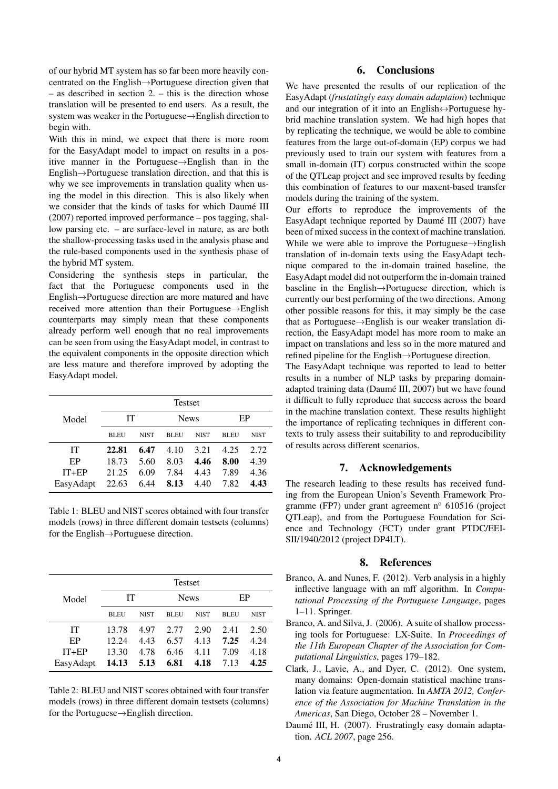of our hybrid MT system has so far been more heavily concentrated on the English→Portuguese direction given that – as described in section 2. – this is the direction whose translation will be presented to end users. As a result, the system was weaker in the Portuguese→English direction to begin with.

With this in mind, we expect that there is more room for the EasyAdapt model to impact on results in a positive manner in the Portuguese→English than in the English→Portuguese translation direction, and that this is why we see improvements in translation quality when using the model in this direction. This is also likely when we consider that the kinds of tasks for which Daumé III (2007) reported improved performance – pos tagging, shallow parsing etc. – are surface-level in nature, as are both the shallow-processing tasks used in the analysis phase and the rule-based components used in the synthesis phase of the hybrid MT system.

Considering the synthesis steps in particular, the fact that the Portuguese components used in the English→Portuguese direction are more matured and have received more attention than their Portuguese→English counterparts may simply mean that these components already perform well enough that no real improvements can be seen from using the EasyAdapt model, in contrast to the equivalent components in the opposite direction which are less mature and therefore improved by adopting the EasyAdapt model.

|           | <b>Testset</b> |             |             |             |             |      |  |  |
|-----------|----------------|-------------|-------------|-------------|-------------|------|--|--|
| Model     | IТ             |             | <b>News</b> |             | EP          |      |  |  |
|           | <b>BLEU</b>    | <b>NIST</b> | <b>BLEU</b> | <b>NIST</b> | <b>BLEU</b> | NIST |  |  |
| IТ        | 22.81          | 6.47        | 4.10        | 3.21        | 4.25        | 2.72 |  |  |
| EP        | 18.73          | 5.60        | 8.03        | 4.46        | 8.00        | 4.39 |  |  |
| $IT+EP$   | 21.25          | 6.09        | 7.84        | 4.43        | 7.89        | 4.36 |  |  |
| EasyAdapt | 22.63          | 6.44        | 8.13        | 4.40        | 7.82        | 4.43 |  |  |

Table 1: BLEU and NIST scores obtained with four transfer models (rows) in three different domain testsets (columns) for the English→Portuguese direction.

| Model     | <b>Testset</b> |             |             |             |             |             |  |  |
|-----------|----------------|-------------|-------------|-------------|-------------|-------------|--|--|
|           | IТ             |             | <b>News</b> |             | EP          |             |  |  |
|           | <b>BLEU</b>    | <b>NIST</b> | <b>BLEU</b> | <b>NIST</b> | <b>BLEU</b> | <b>NIST</b> |  |  |
| IТ        | 13.78          | 4.97        | 2.77        | 2.90        | 2.41        | 2.50        |  |  |
| EP        | 12.24          | 4.43        | 6.57        | 4.13        | 7.25        | 4.24        |  |  |
| $IT+EP$   | 13.30          | 4.78        | 6.46        | 4.11        | 7.09        | 4.18        |  |  |
| EasyAdapt | 14.13          | 5.13        | 6.81        | 4.18        | 7.13        | 4.25        |  |  |

Table 2: BLEU and NIST scores obtained with four transfer models (rows) in three different domain testsets (columns) for the Portuguese→English direction.

### 6. Conclusions

We have presented the results of our replication of the EasyAdapt (*frustatingly easy domain adaptaion*) technique and our integration of it into an English↔Portuguese hybrid machine translation system. We had high hopes that by replicating the technique, we would be able to combine features from the large out-of-domain (EP) corpus we had previously used to train our system with features from a small in-domain (IT) corpus constructed within the scope of the QTLeap project and see improved results by feeding this combination of features to our maxent-based transfer models during the training of the system.

Our efforts to reproduce the improvements of the EasyAdapt technique reported by Daumé III (2007) have been of mixed success in the context of machine translation. While we were able to improve the Portuguese→English translation of in-domain texts using the EasyAdapt technique compared to the in-domain trained baseline, the EasyAdapt model did not outperform the in-domain trained baseline in the English→Portuguese direction, which is currently our best performing of the two directions. Among other possible reasons for this, it may simply be the case that as Portuguese→English is our weaker translation direction, the EasyAdapt model has more room to make an impact on translations and less so in the more matured and refined pipeline for the English→Portuguese direction.

The EasyAdapt technique was reported to lead to better results in a number of NLP tasks by preparing domainadapted training data (Daumé III, 2007) but we have found it difficult to fully reproduce that success across the board in the machine translation context. These results highlight the importance of replicating techniques in different contexts to truly assess their suitability to and reproducibility of results across different scenarios.

# 7. Acknowledgements

The research leading to these results has received funding from the European Union's Seventh Framework Programme (FP7) under grant agreement  $n^{\circ}$  610516 (project QTLeap), and from the Portuguese Foundation for Science and Technology (FCT) under grant PTDC/EEI-SII/1940/2012 (project DP4LT).

#### 8. References

- Branco, A. and Nunes, F. (2012). Verb analysis in a highly inflective language with an mff algorithm. In *Computational Processing of the Portuguese Language*, pages 1–11. Springer.
- Branco, A. and Silva, J. (2006). A suite of shallow processing tools for Portuguese: LX-Suite. In *Proceedings of the 11th European Chapter of the Association for Computational Linguistics*, pages 179–182.
- Clark, J., Lavie, A., and Dyer, C. (2012). One system, many domains: Open-domain statistical machine translation via feature augmentation. In *AMTA 2012, Conference of the Association for Machine Translation in the Americas*, San Diego, October 28 – November 1.
- Daumé III, H. (2007). Frustratingly easy domain adaptation. *ACL 2007*, page 256.